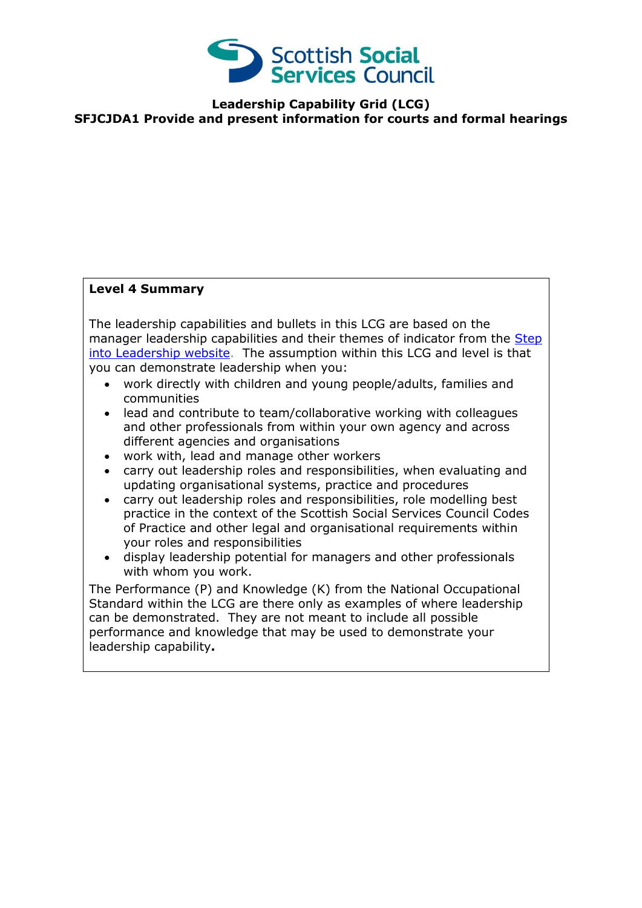

## **Leadership Capability Grid (LCG) SFJCJDA1 Provide and present information for courts and formal hearings**

## **Level 4 Summary**

The leadership capabilities and bullets in this LCG are based on the manager leadership capabilities and their themes of indicator from the Step [into Leadership website.](http://www.stepintoleadership.info/index.html) The assumption within this LCG and level is that you can demonstrate leadership when you:

- work directly with children and young people/adults, families and communities
- lead and contribute to team/collaborative working with colleagues and other professionals from within your own agency and across different agencies and organisations
- work with, lead and manage other workers
- carry out leadership roles and responsibilities, when evaluating and updating organisational systems, practice and procedures
- carry out leadership roles and responsibilities, role modelling best practice in the context of the Scottish Social Services Council Codes of Practice and other legal and organisational requirements within your roles and responsibilities
- display leadership potential for managers and other professionals with whom you work.

The Performance (P) and Knowledge (K) from the National Occupational Standard within the LCG are there only as examples of where leadership can be demonstrated. They are not meant to include all possible performance and knowledge that may be used to demonstrate your leadership capability**.**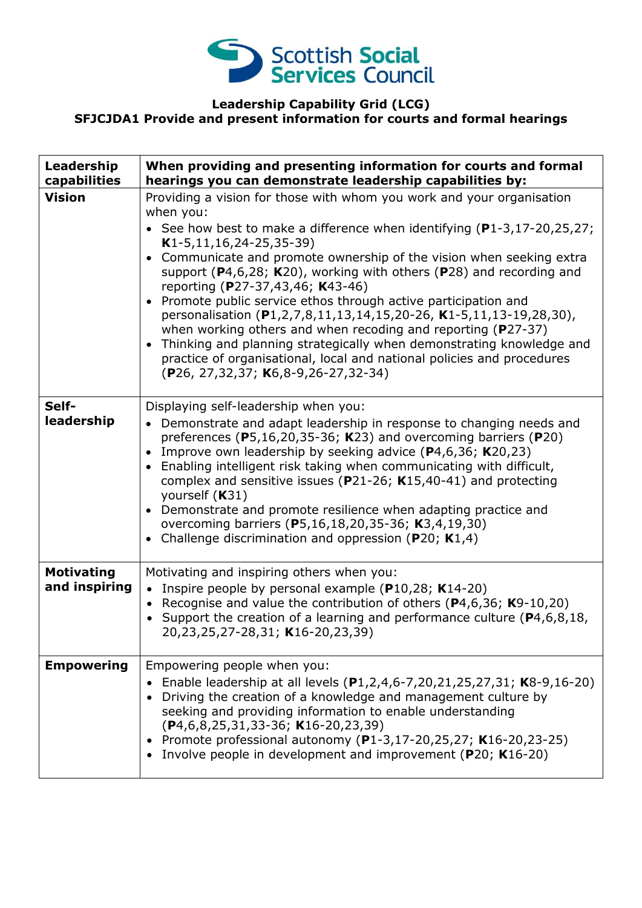

## **Leadership Capability Grid (LCG) SFJCJDA1 Provide and present information for courts and formal hearings**

| Leadership<br>capabilities         | When providing and presenting information for courts and formal<br>hearings you can demonstrate leadership capabilities by:                                                                                                                                                                                                                                                                                                                                                                                                                                                                                                                                                                                                                                                                                                       |
|------------------------------------|-----------------------------------------------------------------------------------------------------------------------------------------------------------------------------------------------------------------------------------------------------------------------------------------------------------------------------------------------------------------------------------------------------------------------------------------------------------------------------------------------------------------------------------------------------------------------------------------------------------------------------------------------------------------------------------------------------------------------------------------------------------------------------------------------------------------------------------|
| <b>Vision</b>                      | Providing a vision for those with whom you work and your organisation<br>when you:<br>• See how best to make a difference when identifying $(P1-3, 17-20, 25, 27)$ ;<br>$K1-5, 11, 16, 24-25, 35-39)$<br>Communicate and promote ownership of the vision when seeking extra<br>$\bullet$<br>support ( $P4,6,28$ ; K20), working with others ( $P28$ ) and recording and<br>reporting (P27-37,43,46; K43-46)<br>Promote public service ethos through active participation and<br>personalisation (P1,2,7,8,11,13,14,15,20-26, K1-5,11,13-19,28,30),<br>when working others and when recoding and reporting ( $P27-37$ )<br>Thinking and planning strategically when demonstrating knowledge and<br>$\bullet$<br>practice of organisational, local and national policies and procedures<br>(P26, 27, 32, 37; K6, 8-9, 26-27, 32-34) |
| Self-<br>leadership                | Displaying self-leadership when you:<br>• Demonstrate and adapt leadership in response to changing needs and<br>preferences ( $P5,16,20,35-36$ ; K23) and overcoming barriers ( $P20$ )<br>Improve own leadership by seeking advice $(P4, 6, 36; K20, 23)$<br>$\bullet$<br>Enabling intelligent risk taking when communicating with difficult,<br>$\bullet$<br>complex and sensitive issues ( $P$ 21-26; K15,40-41) and protecting<br>yourself (K31)<br>Demonstrate and promote resilience when adapting practice and<br>$\bullet$<br>overcoming barriers (P5,16,18,20,35-36; K3,4,19,30)<br>Challenge discrimination and oppression ( $P20$ ; K1,4)<br>$\bullet$                                                                                                                                                                 |
| <b>Motivating</b><br>and inspiring | Motivating and inspiring others when you:<br>• Inspire people by personal example (P10,28; K14-20)<br>• Recognise and value the contribution of others ( $P$ 4,6,36; K9-10,20)<br>• Support the creation of a learning and performance culture ( $P4, 6, 8, 18$ ,<br>20,23,25,27-28,31; K16-20,23,39)                                                                                                                                                                                                                                                                                                                                                                                                                                                                                                                             |
| <b>Empowering</b>                  | Empowering people when you:<br>• Enable leadership at all levels $(P1, 2, 4, 6-7, 20, 21, 25, 27, 31; K8-9, 16-20)$<br>Driving the creation of a knowledge and management culture by<br>seeking and providing information to enable understanding<br>$(P4, 6, 8, 25, 31, 33 - 36; K16 - 20, 23, 39)$<br>• Promote professional autonomy (P1-3,17-20,25,27; K16-20,23-25)<br>Involve people in development and improvement (P20; K16-20)                                                                                                                                                                                                                                                                                                                                                                                           |